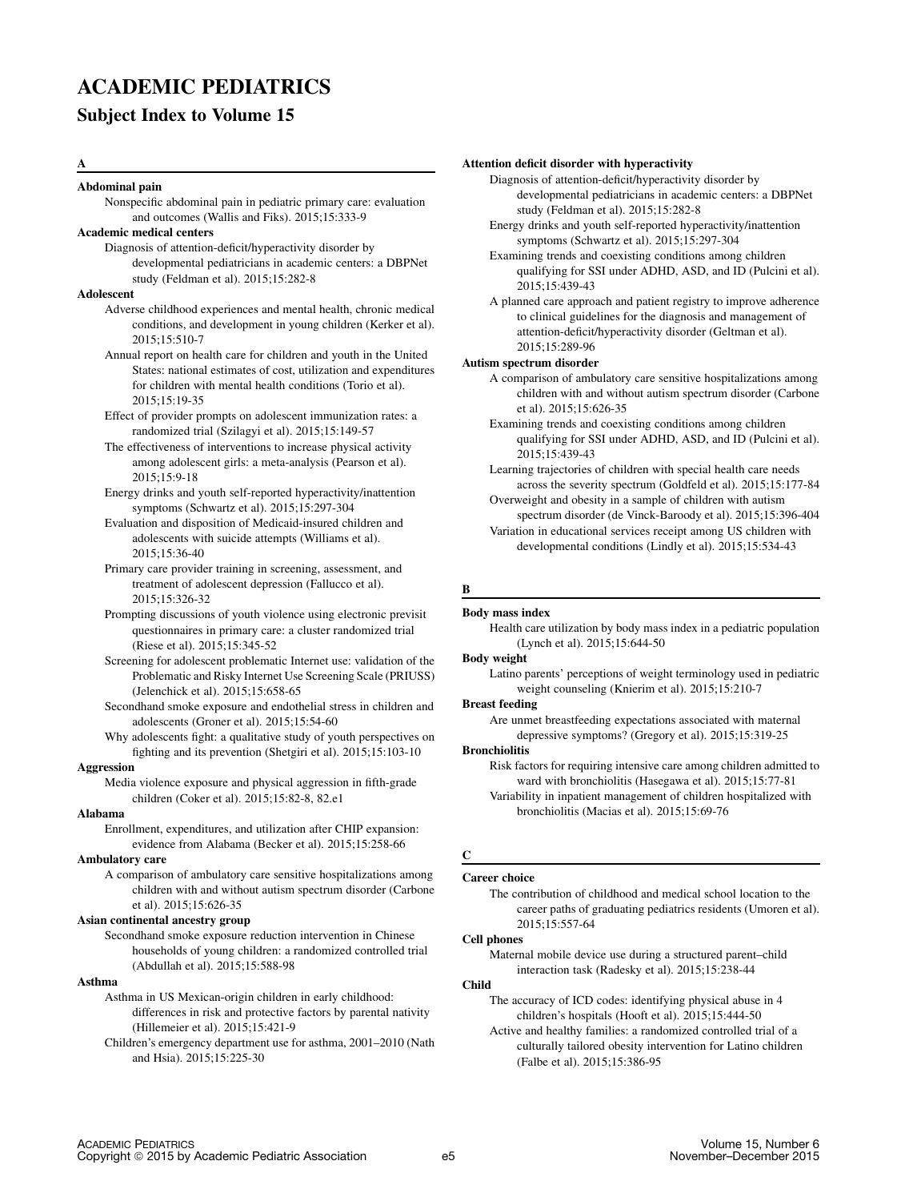# ACADEMIC PEDIATRICS

# Subject Index to Volume 15

## A

#### Abdominal pain

Nonspecific abdominal pain in pediatric primary care: evaluation and outcomes (Wallis and Fiks). 2015;15:333-9

# Academic medical centers

Diagnosis of attention-deficit/hyperactivity disorder by developmental pediatricians in academic centers: a DBPNet study (Feldman et al). 2015;15:282-8

## **Adolescent**

- Adverse childhood experiences and mental health, chronic medical conditions, and development in young children (Kerker et al). 2015;15:510-7
- Annual report on health care for children and youth in the United States: national estimates of cost, utilization and expenditures for children with mental health conditions (Torio et al). 2015;15:19-35
- Effect of provider prompts on adolescent immunization rates: a randomized trial (Szilagyi et al). 2015;15:149-57
- The effectiveness of interventions to increase physical activity among adolescent girls: a meta-analysis (Pearson et al). 2015;15:9-18
- Energy drinks and youth self-reported hyperactivity/inattention symptoms (Schwartz et al). 2015;15:297-304

Evaluation and disposition of Medicaid-insured children and adolescents with suicide attempts (Williams et al). 2015;15:36-40

- Primary care provider training in screening, assessment, and treatment of adolescent depression (Fallucco et al). 2015;15:326-32
- Prompting discussions of youth violence using electronic previsit questionnaires in primary care: a cluster randomized trial (Riese et al). 2015;15:345-52
- Screening for adolescent problematic Internet use: validation of the Problematic and Risky Internet Use Screening Scale (PRIUSS) (Jelenchick et al). 2015;15:658-65
- Secondhand smoke exposure and endothelial stress in children and adolescents (Groner et al). 2015;15:54-60
- Why adolescents fight: a qualitative study of youth perspectives on fighting and its prevention (Shetgiri et al). 2015;15:103-10

#### Aggression

Media violence exposure and physical aggression in fifth-grade children (Coker et al). 2015;15:82-8, 82.e1

#### Alabama

Enrollment, expenditures, and utilization after CHIP expansion: evidence from Alabama (Becker et al). 2015;15:258-66

## Ambulatory care

A comparison of ambulatory care sensitive hospitalizations among children with and without autism spectrum disorder (Carbone et al). 2015;15:626-35

## Asian continental ancestry group

Secondhand smoke exposure reduction intervention in Chinese households of young children: a randomized controlled trial (Abdullah et al). 2015;15:588-98

# Asthma

- Asthma in US Mexican-origin children in early childhood: differences in risk and protective factors by parental nativity (Hillemeier et al). 2015;15:421-9
- Children's emergency department use for asthma, 2001–2010 (Nath and Hsia). 2015;15:225-30

# Attention deficit disorder with hyperactivity

Diagnosis of attention-deficit/hyperactivity disorder by developmental pediatricians in academic centers: a DBPNet study (Feldman et al). 2015;15:282-8

- Energy drinks and youth self-reported hyperactivity/inattention symptoms (Schwartz et al). 2015;15:297-304
- Examining trends and coexisting conditions among children qualifying for SSI under ADHD, ASD, and ID (Pulcini et al). 2015;15:439-43
- A planned care approach and patient registry to improve adherence to clinical guidelines for the diagnosis and management of attention-deficit/hyperactivity disorder (Geltman et al). 2015;15:289-96

# Autism spectrum disorder

- A comparison of ambulatory care sensitive hospitalizations among children with and without autism spectrum disorder (Carbone et al). 2015;15:626-35
- Examining trends and coexisting conditions among children qualifying for SSI under ADHD, ASD, and ID (Pulcini et al). 2015;15:439-43
- Learning trajectories of children with special health care needs across the severity spectrum (Goldfeld et al). 2015;15:177-84 Overweight and obesity in a sample of children with autism
- spectrum disorder (de Vinck-Baroody et al). 2015;15:396-404 Variation in educational services receipt among US children with developmental conditions (Lindly et al). 2015;15:534-43

## B

## Body mass index

Health care utilization by body mass index in a pediatric population (Lynch et al). 2015;15:644-50

### Body weight

Latino parents' perceptions of weight terminology used in pediatric weight counseling (Knierim et al). 2015;15:210-7

## Breast feeding

Are unmet breastfeeding expectations associated with maternal depressive symptoms? (Gregory et al). 2015;15:319-25

#### **Bronchiolitis**

Risk factors for requiring intensive care among children admitted to ward with bronchiolitis (Hasegawa et al). 2015;15:77-81 Variability in inpatient management of children hospitalized with bronchiolitis (Macias et al). 2015;15:69-76

# C

# Career choice

The contribution of childhood and medical school location to the career paths of graduating pediatrics residents (Umoren et al). 2015;15:557-64

# Cell phones

Maternal mobile device use during a structured parent–child interaction task (Radesky et al). 2015;15:238-44

# Child

- The accuracy of ICD codes: identifying physical abuse in 4 children's hospitals (Hooft et al). 2015;15:444-50
- Active and healthy families: a randomized controlled trial of a culturally tailored obesity intervention for Latino children (Falbe et al). 2015;15:386-95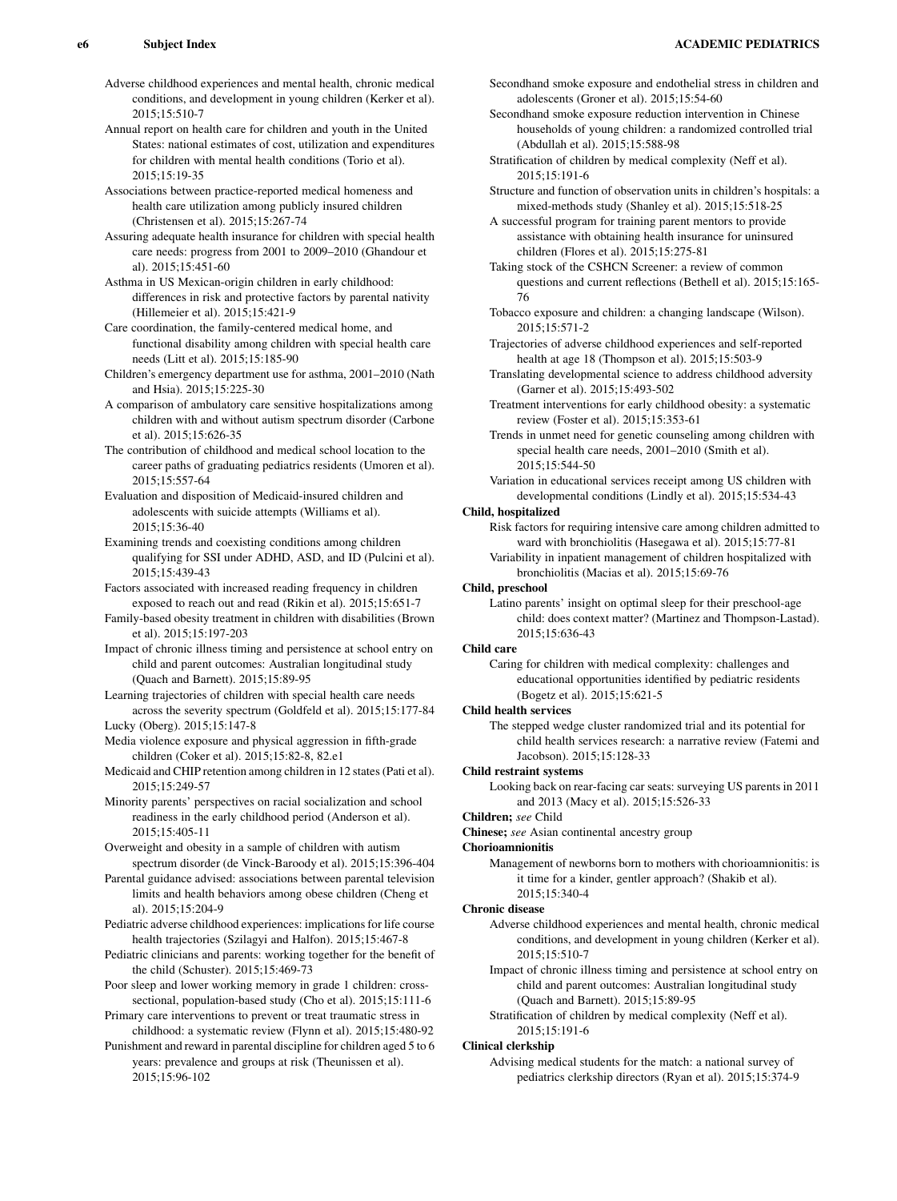Adverse childhood experiences and mental health, chronic medical conditions, and development in young children (Kerker et al). 2015;15:510-7

Annual report on health care for children and youth in the United States: national estimates of cost, utilization and expenditures for children with mental health conditions (Torio et al). 2015;15:19-35

Associations between practice-reported medical homeness and health care utilization among publicly insured children (Christensen et al). 2015;15:267-74

- Assuring adequate health insurance for children with special health care needs: progress from 2001 to 2009–2010 (Ghandour et al). 2015;15:451-60
- Asthma in US Mexican-origin children in early childhood: differences in risk and protective factors by parental nativity (Hillemeier et al). 2015;15:421-9
- Care coordination, the family-centered medical home, and functional disability among children with special health care needs (Litt et al). 2015;15:185-90
- Children's emergency department use for asthma, 2001–2010 (Nath and Hsia). 2015;15:225-30
- A comparison of ambulatory care sensitive hospitalizations among children with and without autism spectrum disorder (Carbone et al). 2015;15:626-35
- The contribution of childhood and medical school location to the career paths of graduating pediatrics residents (Umoren et al). 2015;15:557-64

Evaluation and disposition of Medicaid-insured children and adolescents with suicide attempts (Williams et al). 2015;15:36-40

- Examining trends and coexisting conditions among children qualifying for SSI under ADHD, ASD, and ID (Pulcini et al). 2015;15:439-43
- Factors associated with increased reading frequency in children exposed to reach out and read (Rikin et al). 2015;15:651-7
- Family-based obesity treatment in children with disabilities (Brown et al). 2015;15:197-203

Impact of chronic illness timing and persistence at school entry on child and parent outcomes: Australian longitudinal study (Quach and Barnett). 2015;15:89-95

Learning trajectories of children with special health care needs across the severity spectrum (Goldfeld et al). 2015;15:177-84 Lucky (Oberg). 2015;15:147-8

- Media violence exposure and physical aggression in fifth-grade children (Coker et al). 2015;15:82-8, 82.e1
- Medicaid and CHIP retention among children in 12 states (Pati et al). 2015;15:249-57

Minority parents' perspectives on racial socialization and school readiness in the early childhood period (Anderson et al). 2015;15:405-11

Overweight and obesity in a sample of children with autism spectrum disorder (de Vinck-Baroody et al). 2015;15:396-404

Parental guidance advised: associations between parental television limits and health behaviors among obese children (Cheng et al). 2015;15:204-9

Pediatric adverse childhood experiences: implications for life course health trajectories (Szilagyi and Halfon). 2015;15:467-8

- Pediatric clinicians and parents: working together for the benefit of the child (Schuster). 2015;15:469-73
- Poor sleep and lower working memory in grade 1 children: crosssectional, population-based study (Cho et al). 2015;15:111-6

Primary care interventions to prevent or treat traumatic stress in childhood: a systematic review (Flynn et al). 2015;15:480-92

Punishment and reward in parental discipline for children aged 5 to 6 years: prevalence and groups at risk (Theunissen et al). 2015;15:96-102

- Secondhand smoke exposure and endothelial stress in children and adolescents (Groner et al). 2015;15:54-60
- Secondhand smoke exposure reduction intervention in Chinese households of young children: a randomized controlled trial (Abdullah et al). 2015;15:588-98
- Stratification of children by medical complexity (Neff et al). 2015;15:191-6
- Structure and function of observation units in children's hospitals: a mixed-methods study (Shanley et al). 2015;15:518-25

A successful program for training parent mentors to provide assistance with obtaining health insurance for uninsured children (Flores et al). 2015;15:275-81

Taking stock of the CSHCN Screener: a review of common questions and current reflections (Bethell et al). 2015;15:165- 76

- Tobacco exposure and children: a changing landscape (Wilson). 2015;15:571-2
- Trajectories of adverse childhood experiences and self-reported health at age 18 (Thompson et al). 2015;15:503-9
- Translating developmental science to address childhood adversity (Garner et al). 2015;15:493-502
- Treatment interventions for early childhood obesity: a systematic review (Foster et al). 2015;15:353-61
- Trends in unmet need for genetic counseling among children with special health care needs, 2001–2010 (Smith et al). 2015;15:544-50
- Variation in educational services receipt among US children with developmental conditions (Lindly et al). 2015;15:534-43

# Child, hospitalized

- Risk factors for requiring intensive care among children admitted to ward with bronchiolitis (Hasegawa et al). 2015;15:77-81 Variability in inpatient management of children hospitalized with
- bronchiolitis (Macias et al). 2015;15:69-76

## Child, preschool

Latino parents' insight on optimal sleep for their preschool-age child: does context matter? (Martinez and Thompson-Lastad). 2015;15:636-43

# Child care

Caring for children with medical complexity: challenges and educational opportunities identified by pediatric residents (Bogetz et al). 2015;15:621-5

## Child health services

The stepped wedge cluster randomized trial and its potential for child health services research: a narrative review (Fatemi and Jacobson). 2015;15:128-33

## Child restraint systems

Looking back on rear-facing car seats: surveying US parents in 2011 and 2013 (Macy et al). 2015;15:526-33

## Children; see Child

Chinese; see Asian continental ancestry group

## Chorioamnionitis

Management of newborns born to mothers with chorioamnionitis: is it time for a kinder, gentler approach? (Shakib et al). 2015;15:340-4

## Chronic disease

- Adverse childhood experiences and mental health, chronic medical conditions, and development in young children (Kerker et al). 2015;15:510-7
- Impact of chronic illness timing and persistence at school entry on child and parent outcomes: Australian longitudinal study (Quach and Barnett). 2015;15:89-95
- Stratification of children by medical complexity (Neff et al). 2015;15:191-6

## Clinical clerkship

Advising medical students for the match: a national survey of pediatrics clerkship directors (Ryan et al). 2015;15:374-9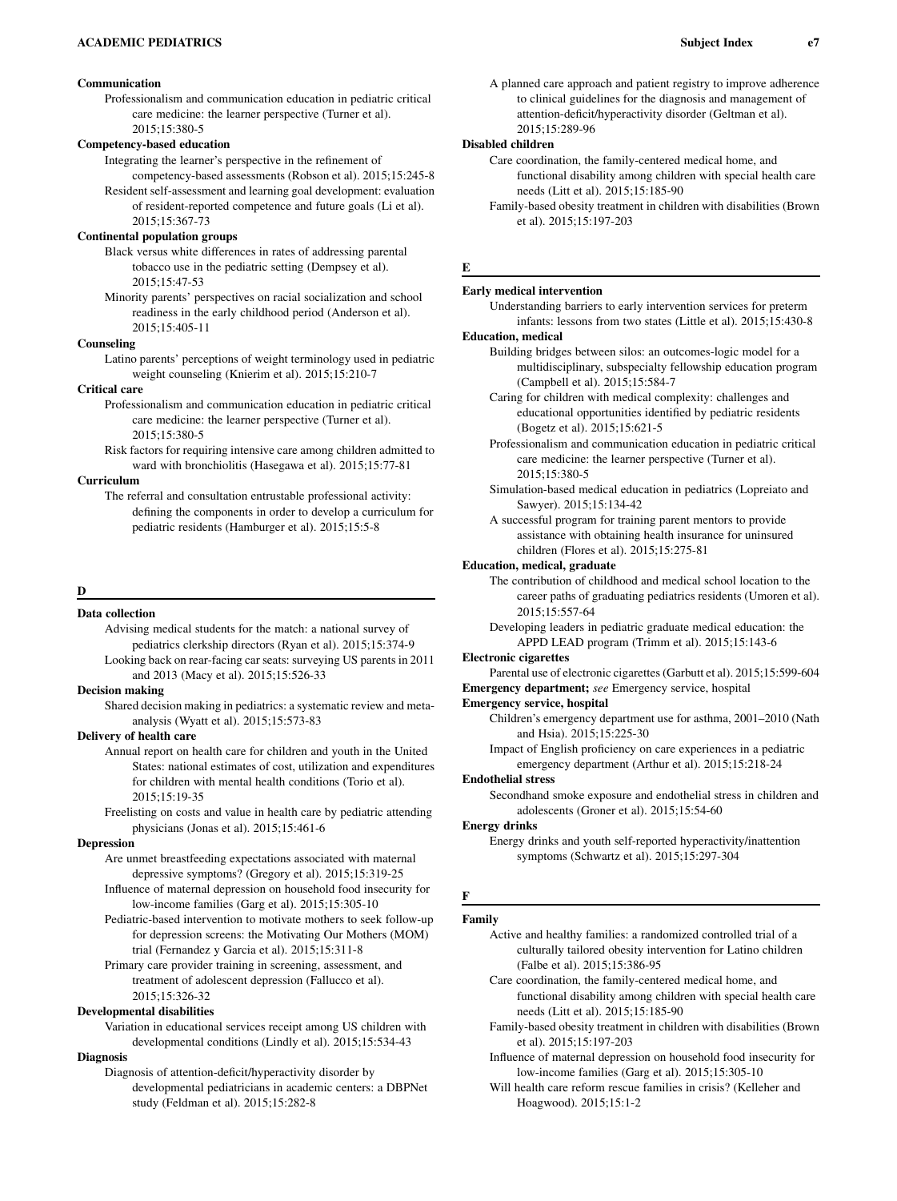# Communication

Professionalism and communication education in pediatric critical care medicine: the learner perspective (Turner et al). 2015;15:380-5

# Competency-based education

Integrating the learner's perspective in the refinement of competency-based assessments (Robson et al). 2015;15:245-8 Resident self-assessment and learning goal development: evaluation of resident-reported competence and future goals (Li et al).

2015;15:367-73

# Continental population groups

Black versus white differences in rates of addressing parental tobacco use in the pediatric setting (Dempsey et al). 2015;15:47-53

Minority parents' perspectives on racial socialization and school readiness in the early childhood period (Anderson et al). 2015;15:405-11

#### Counseling

Latino parents' perceptions of weight terminology used in pediatric weight counseling (Knierim et al). 2015;15:210-7

#### Critical care

Professionalism and communication education in pediatric critical care medicine: the learner perspective (Turner et al). 2015;15:380-5

Risk factors for requiring intensive care among children admitted to ward with bronchiolitis (Hasegawa et al). 2015;15:77-81

#### Curriculum

The referral and consultation entrustable professional activity: defining the components in order to develop a curriculum for pediatric residents (Hamburger et al). 2015;15:5-8

#### D

#### Data collection

Advising medical students for the match: a national survey of pediatrics clerkship directors (Ryan et al). 2015;15:374-9 Looking back on rear-facing car seats: surveying US parents in 2011 and 2013 (Macy et al). 2015;15:526-33

#### Decision making

Shared decision making in pediatrics: a systematic review and metaanalysis (Wyatt et al). 2015;15:573-83

#### Delivery of health care

Annual report on health care for children and youth in the United States: national estimates of cost, utilization and expenditures for children with mental health conditions (Torio et al). 2015;15:19-35

Freelisting on costs and value in health care by pediatric attending physicians (Jonas et al). 2015;15:461-6

#### **Depression**

Are unmet breastfeeding expectations associated with maternal depressive symptoms? (Gregory et al). 2015;15:319-25 Influence of maternal depression on household food insecurity for

low-income families (Garg et al). 2015;15:305-10

Pediatric-based intervention to motivate mothers to seek follow-up for depression screens: the Motivating Our Mothers (MOM) trial (Fernandez y Garcia et al). 2015;15:311-8

Primary care provider training in screening, assessment, and treatment of adolescent depression (Fallucco et al). 2015;15:326-32

#### Developmental disabilities

Variation in educational services receipt among US children with developmental conditions (Lindly et al). 2015;15:534-43

# **Diagnosis**

Diagnosis of attention-deficit/hyperactivity disorder by developmental pediatricians in academic centers: a DBPNet study (Feldman et al). 2015;15:282-8

A planned care approach and patient registry to improve adherence to clinical guidelines for the diagnosis and management of attention-deficit/hyperactivity disorder (Geltman et al). 2015;15:289-96

# Disabled children

Care coordination, the family-centered medical home, and functional disability among children with special health care needs (Litt et al). 2015;15:185-90

Family-based obesity treatment in children with disabilities (Brown et al). 2015;15:197-203

## E

#### Early medical intervention

Understanding barriers to early intervention services for preterm infants: lessons from two states (Little et al). 2015;15:430-8

## Education, medical

- Building bridges between silos: an outcomes-logic model for a multidisciplinary, subspecialty fellowship education program (Campbell et al). 2015;15:584-7
- Caring for children with medical complexity: challenges and educational opportunities identified by pediatric residents (Bogetz et al). 2015;15:621-5
- Professionalism and communication education in pediatric critical care medicine: the learner perspective (Turner et al). 2015;15:380-5
- Simulation-based medical education in pediatrics (Lopreiato and Sawyer). 2015;15:134-42
- A successful program for training parent mentors to provide assistance with obtaining health insurance for uninsured children (Flores et al). 2015;15:275-81

#### Education, medical, graduate

The contribution of childhood and medical school location to the career paths of graduating pediatrics residents (Umoren et al). 2015;15:557-64

Developing leaders in pediatric graduate medical education: the APPD LEAD program (Trimm et al). 2015;15:143-6

#### Electronic cigarettes

Parental use of electronic cigarettes (Garbutt et al). 2015;15:599-604 Emergency department; see Emergency service, hospital

#### Emergency service, hospital

Children's emergency department use for asthma, 2001–2010 (Nath and Hsia). 2015;15:225-30

Impact of English proficiency on care experiences in a pediatric emergency department (Arthur et al). 2015;15:218-24

# Endothelial stress

Secondhand smoke exposure and endothelial stress in children and adolescents (Groner et al). 2015;15:54-60

#### Energy drinks

Energy drinks and youth self-reported hyperactivity/inattention symptoms (Schwartz et al). 2015;15:297-304

#### F

#### Family

Active and healthy families: a randomized controlled trial of a culturally tailored obesity intervention for Latino children (Falbe et al). 2015;15:386-95

Care coordination, the family-centered medical home, and functional disability among children with special health care needs (Litt et al). 2015;15:185-90

- Family-based obesity treatment in children with disabilities (Brown et al). 2015;15:197-203
- Influence of maternal depression on household food insecurity for low-income families (Garg et al). 2015;15:305-10
- Will health care reform rescue families in crisis? (Kelleher and Hoagwood). 2015;15:1-2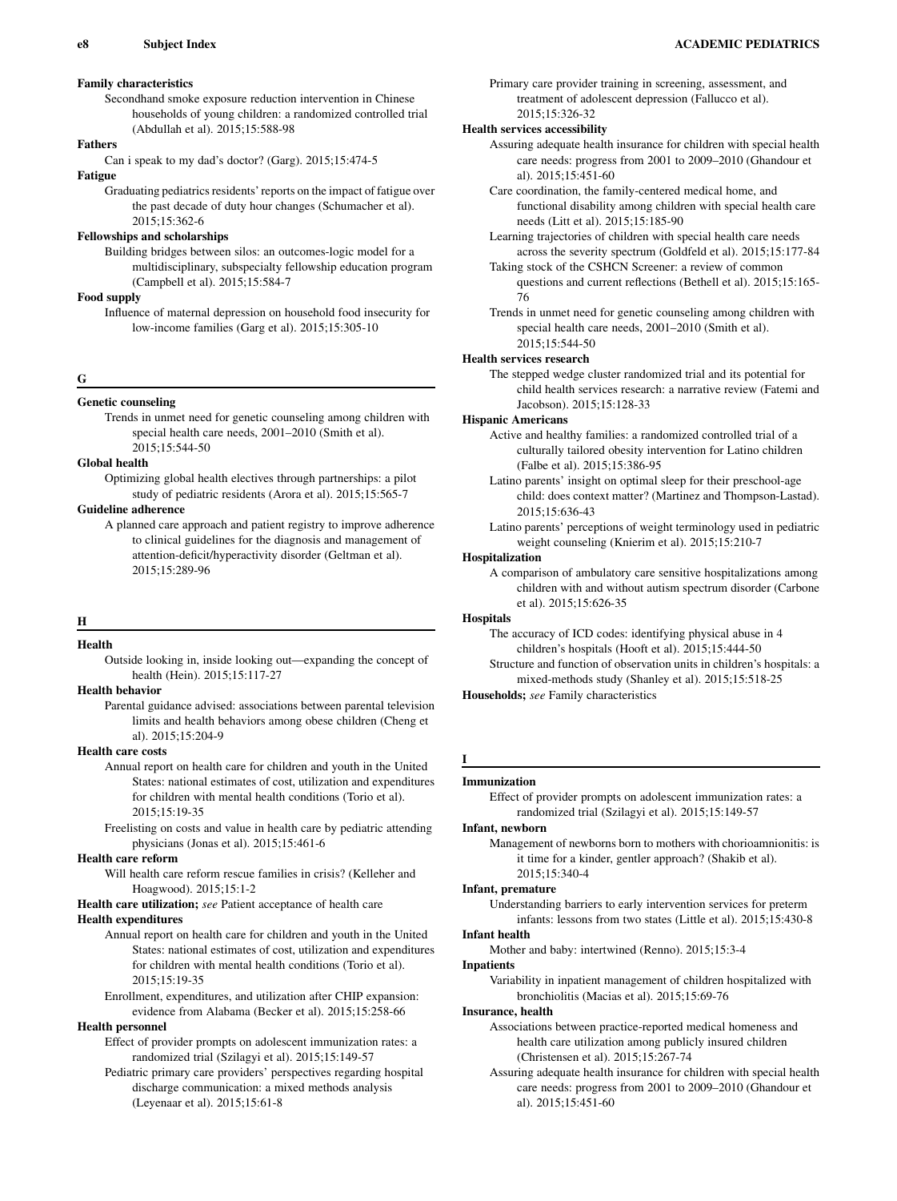# Family characteristics

Secondhand smoke exposure reduction intervention in Chinese households of young children: a randomized controlled trial (Abdullah et al). 2015;15:588-98

# Fathers

Can i speak to my dad's doctor? (Garg). 2015;15:474-5

# Fatigue

Graduating pediatrics residents' reports on the impact of fatigue over the past decade of duty hour changes (Schumacher et al). 2015;15:362-6

# Fellowships and scholarships

Building bridges between silos: an outcomes-logic model for a multidisciplinary, subspecialty fellowship education program (Campbell et al). 2015;15:584-7

# Food supply

Influence of maternal depression on household food insecurity for low-income families (Garg et al). 2015;15:305-10

#### G

#### Genetic counseling

Trends in unmet need for genetic counseling among children with special health care needs, 2001–2010 (Smith et al). 2015;15:544-50

#### Global health

Optimizing global health electives through partnerships: a pilot study of pediatric residents (Arora et al). 2015;15:565-7

# Guideline adherence

A planned care approach and patient registry to improve adherence to clinical guidelines for the diagnosis and management of attention-deficit/hyperactivity disorder (Geltman et al). 2015;15:289-96

## H

# Health

Outside looking in, inside looking out—expanding the concept of health (Hein). 2015;15:117-27

# Health behavior

Parental guidance advised: associations between parental television limits and health behaviors among obese children (Cheng et al). 2015;15:204-9

# Health care costs

Annual report on health care for children and youth in the United States: national estimates of cost, utilization and expenditures for children with mental health conditions (Torio et al). 2015;15:19-35

Freelisting on costs and value in health care by pediatric attending physicians (Jonas et al). 2015;15:461-6

# Health care reform

Will health care reform rescue families in crisis? (Kelleher and Hoagwood). 2015;15:1-2

Health care utilization; see Patient acceptance of health care

# Health expenditures

Annual report on health care for children and youth in the United States: national estimates of cost, utilization and expenditures for children with mental health conditions (Torio et al). 2015;15:19-35

Enrollment, expenditures, and utilization after CHIP expansion: evidence from Alabama (Becker et al). 2015;15:258-66

# Health personnel

Effect of provider prompts on adolescent immunization rates: a randomized trial (Szilagyi et al). 2015;15:149-57

Pediatric primary care providers' perspectives regarding hospital discharge communication: a mixed methods analysis (Leyenaar et al). 2015;15:61-8

Primary care provider training in screening, assessment, and treatment of adolescent depression (Fallucco et al). 2015;15:326-32

# Health services accessibility

- Assuring adequate health insurance for children with special health care needs: progress from 2001 to 2009–2010 (Ghandour et al). 2015;15:451-60
- Care coordination, the family-centered medical home, and functional disability among children with special health care needs (Litt et al). 2015;15:185-90
- Learning trajectories of children with special health care needs across the severity spectrum (Goldfeld et al). 2015;15:177-84

Taking stock of the CSHCN Screener: a review of common questions and current reflections (Bethell et al). 2015;15:165- 76

Trends in unmet need for genetic counseling among children with special health care needs, 2001–2010 (Smith et al). 2015;15:544-50

#### Health services research

The stepped wedge cluster randomized trial and its potential for child health services research: a narrative review (Fatemi and Jacobson). 2015;15:128-33

#### Hispanic Americans

Active and healthy families: a randomized controlled trial of a culturally tailored obesity intervention for Latino children (Falbe et al). 2015;15:386-95

- Latino parents' insight on optimal sleep for their preschool-age child: does context matter? (Martinez and Thompson-Lastad). 2015;15:636-43
- Latino parents' perceptions of weight terminology used in pediatric weight counseling (Knierim et al). 2015;15:210-7

## Hospitalization

A comparison of ambulatory care sensitive hospitalizations among children with and without autism spectrum disorder (Carbone et al). 2015;15:626-35

## **Hospitals**

The accuracy of ICD codes: identifying physical abuse in 4 children's hospitals (Hooft et al). 2015;15:444-50 Structure and function of observation units in children's hospitals: a

mixed-methods study (Shanley et al). 2015;15:518-25

Households; see Family characteristics

# Immunization

I

## Effect of provider prompts on adolescent immunization rates: a randomized trial (Szilagyi et al). 2015;15:149-57

Infant, newborn

Management of newborns born to mothers with chorioamnionitis: is it time for a kinder, gentler approach? (Shakib et al). 2015;15:340-4

#### Infant, premature

Understanding barriers to early intervention services for preterm infants: lessons from two states (Little et al). 2015;15:430-8

# Infant health

Mother and baby: intertwined (Renno). 2015;15:3-4

## Inpatients

Variability in inpatient management of children hospitalized with bronchiolitis (Macias et al). 2015;15:69-76

#### Insurance, health

Associations between practice-reported medical homeness and health care utilization among publicly insured children (Christensen et al). 2015;15:267-74

Assuring adequate health insurance for children with special health care needs: progress from 2001 to 2009–2010 (Ghandour et al). 2015;15:451-60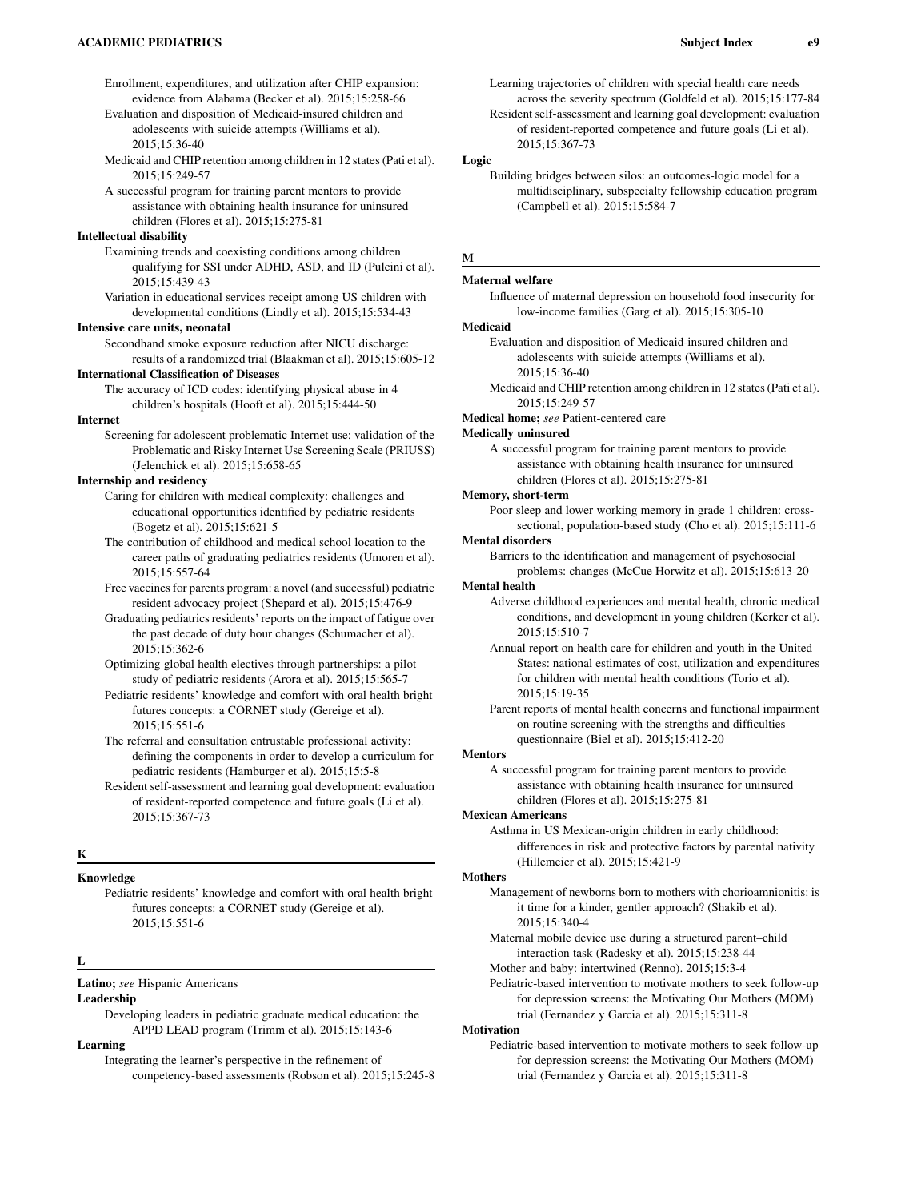Enrollment, expenditures, and utilization after CHIP expansion: evidence from Alabama (Becker et al). 2015;15:258-66

Evaluation and disposition of Medicaid-insured children and adolescents with suicide attempts (Williams et al). 2015;15:36-40

Medicaid and CHIP retention among children in 12 states (Pati et al). 2015;15:249-57

A successful program for training parent mentors to provide assistance with obtaining health insurance for uninsured children (Flores et al). 2015;15:275-81

# Intellectual disability

Examining trends and coexisting conditions among children qualifying for SSI under ADHD, ASD, and ID (Pulcini et al). 2015;15:439-43

Variation in educational services receipt among US children with developmental conditions (Lindly et al). 2015;15:534-43

#### Intensive care units, neonatal

Secondhand smoke exposure reduction after NICU discharge: results of a randomized trial (Blaakman et al). 2015;15:605-12

#### International Classification of Diseases

The accuracy of ICD codes: identifying physical abuse in 4 children's hospitals (Hooft et al). 2015;15:444-50

## Internet

Screening for adolescent problematic Internet use: validation of the Problematic and Risky Internet Use Screening Scale (PRIUSS) (Jelenchick et al). 2015;15:658-65

# Internship and residency

Caring for children with medical complexity: challenges and educational opportunities identified by pediatric residents (Bogetz et al). 2015;15:621-5

- The contribution of childhood and medical school location to the career paths of graduating pediatrics residents (Umoren et al). 2015;15:557-64
- Free vaccines for parents program: a novel (and successful) pediatric resident advocacy project (Shepard et al). 2015;15:476-9
- Graduating pediatrics residents' reports on the impact of fatigue over the past decade of duty hour changes (Schumacher et al). 2015;15:362-6
- Optimizing global health electives through partnerships: a pilot study of pediatric residents (Arora et al). 2015;15:565-7
- Pediatric residents' knowledge and comfort with oral health bright futures concepts: a CORNET study (Gereige et al). 2015;15:551-6
- The referral and consultation entrustable professional activity: defining the components in order to develop a curriculum for pediatric residents (Hamburger et al). 2015;15:5-8

Resident self-assessment and learning goal development: evaluation of resident-reported competence and future goals (Li et al). 2015;15:367-73

# K

# Knowledge

Pediatric residents' knowledge and comfort with oral health bright futures concepts: a CORNET study (Gereige et al). 2015;15:551-6

#### L

#### Latino; see Hispanic Americans

#### Leadership

Developing leaders in pediatric graduate medical education: the APPD LEAD program (Trimm et al). 2015;15:143-6

# Learning

Integrating the learner's perspective in the refinement of competency-based assessments (Robson et al). 2015;15:245-8 Learning trajectories of children with special health care needs across the severity spectrum (Goldfeld et al). 2015;15:177-84

Resident self-assessment and learning goal development: evaluation of resident-reported competence and future goals (Li et al). 2015;15:367-73

#### Logic

Building bridges between silos: an outcomes-logic model for a multidisciplinary, subspecialty fellowship education program (Campbell et al). 2015;15:584-7

# M

# Maternal welfare

Influence of maternal depression on household food insecurity for low-income families (Garg et al). 2015;15:305-10

### Medicaid

- Evaluation and disposition of Medicaid-insured children and adolescents with suicide attempts (Williams et al). 2015;15:36-40
- Medicaid and CHIP retention among children in 12 states (Pati et al). 2015;15:249-57
- Medical home; see Patient-centered care

## Medically uninsured

A successful program for training parent mentors to provide assistance with obtaining health insurance for uninsured children (Flores et al). 2015;15:275-81

#### Memory, short-term

Poor sleep and lower working memory in grade 1 children: crosssectional, population-based study (Cho et al). 2015;15:111-6

# Mental disorders

Barriers to the identification and management of psychosocial problems: changes (McCue Horwitz et al). 2015;15:613-20

#### Mental health

- Adverse childhood experiences and mental health, chronic medical conditions, and development in young children (Kerker et al). 2015;15:510-7
- Annual report on health care for children and youth in the United States: national estimates of cost, utilization and expenditures for children with mental health conditions (Torio et al). 2015;15:19-35
- Parent reports of mental health concerns and functional impairment on routine screening with the strengths and difficulties questionnaire (Biel et al). 2015;15:412-20

#### Mentors

A successful program for training parent mentors to provide assistance with obtaining health insurance for uninsured children (Flores et al). 2015;15:275-81

#### Mexican Americans

Asthma in US Mexican-origin children in early childhood: differences in risk and protective factors by parental nativity (Hillemeier et al). 2015;15:421-9

#### Mothers

Management of newborns born to mothers with chorioamnionitis: is it time for a kinder, gentler approach? (Shakib et al). 2015;15:340-4

- Maternal mobile device use during a structured parent–child interaction task (Radesky et al). 2015;15:238-44
- Mother and baby: intertwined (Renno). 2015;15:3-4

Pediatric-based intervention to motivate mothers to seek follow-up for depression screens: the Motivating Our Mothers (MOM) trial (Fernandez y Garcia et al). 2015;15:311-8

# **Motivation**

Pediatric-based intervention to motivate mothers to seek follow-up for depression screens: the Motivating Our Mothers (MOM) trial (Fernandez y Garcia et al). 2015;15:311-8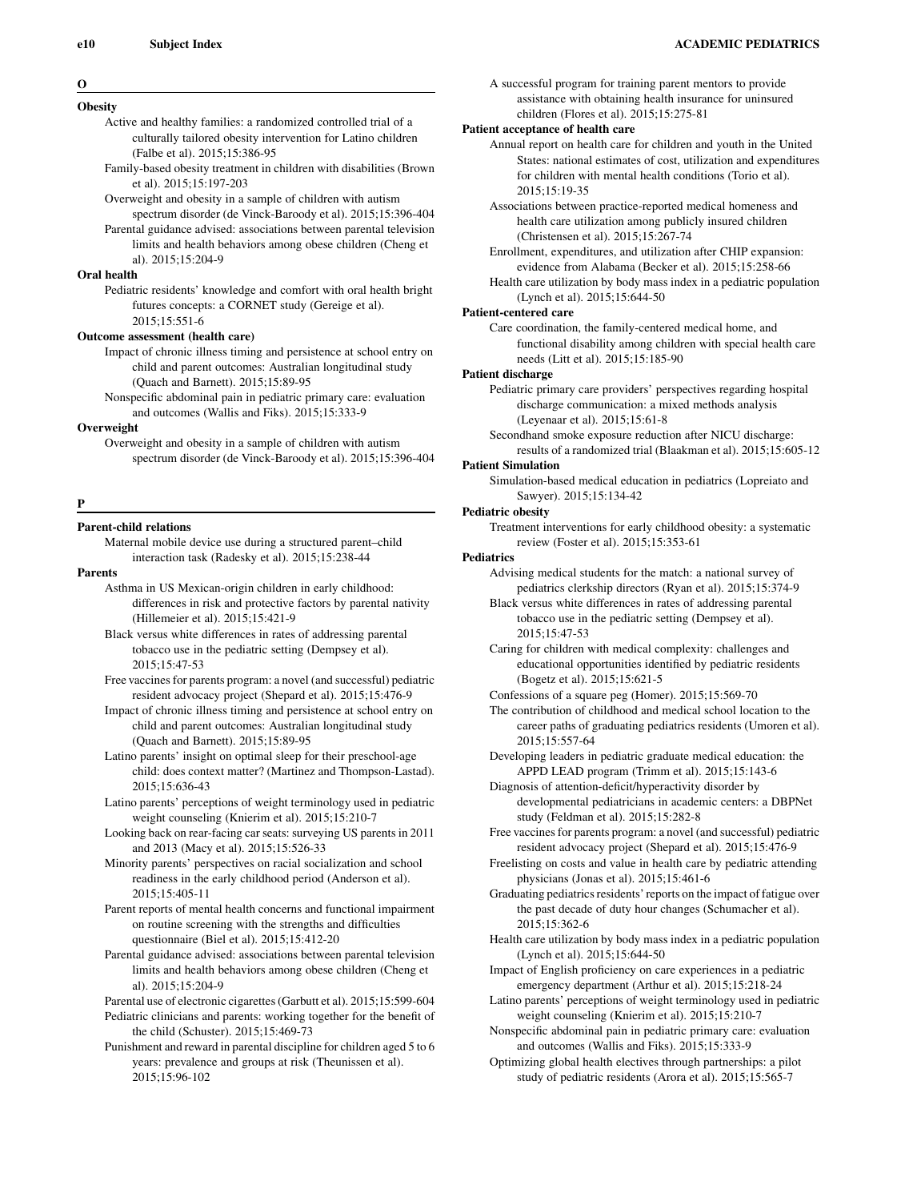#### O

## **Obesity**

Active and healthy families: a randomized controlled trial of a culturally tailored obesity intervention for Latino children (Falbe et al). 2015;15:386-95

- Family-based obesity treatment in children with disabilities (Brown et al). 2015;15:197-203
- Overweight and obesity in a sample of children with autism spectrum disorder (de Vinck-Baroody et al). 2015;15:396-404

Parental guidance advised: associations between parental television limits and health behaviors among obese children (Cheng et al). 2015;15:204-9

# Oral health

Pediatric residents' knowledge and comfort with oral health bright futures concepts: a CORNET study (Gereige et al). 2015;15:551-6

#### Outcome assessment (health care)

Impact of chronic illness timing and persistence at school entry on child and parent outcomes: Australian longitudinal study (Quach and Barnett). 2015;15:89-95

Nonspecific abdominal pain in pediatric primary care: evaluation and outcomes (Wallis and Fiks). 2015;15:333-9

#### Overweight

Overweight and obesity in a sample of children with autism spectrum disorder (de Vinck-Baroody et al). 2015;15:396-404

#### P

## Parent-child relations

Maternal mobile device use during a structured parent–child interaction task (Radesky et al). 2015;15:238-44

## Parents

- Asthma in US Mexican-origin children in early childhood: differences in risk and protective factors by parental nativity (Hillemeier et al). 2015;15:421-9
- Black versus white differences in rates of addressing parental tobacco use in the pediatric setting (Dempsey et al). 2015;15:47-53
- Free vaccines for parents program: a novel (and successful) pediatric resident advocacy project (Shepard et al). 2015;15:476-9
- Impact of chronic illness timing and persistence at school entry on child and parent outcomes: Australian longitudinal study (Quach and Barnett). 2015;15:89-95
- Latino parents' insight on optimal sleep for their preschool-age child: does context matter? (Martinez and Thompson-Lastad). 2015;15:636-43
- Latino parents' perceptions of weight terminology used in pediatric weight counseling (Knierim et al). 2015;15:210-7
- Looking back on rear-facing car seats: surveying US parents in 2011 and 2013 (Macy et al). 2015;15:526-33
- Minority parents' perspectives on racial socialization and school readiness in the early childhood period (Anderson et al). 2015;15:405-11
- Parent reports of mental health concerns and functional impairment on routine screening with the strengths and difficulties questionnaire (Biel et al). 2015;15:412-20
- Parental guidance advised: associations between parental television limits and health behaviors among obese children (Cheng et al). 2015;15:204-9
- Parental use of electronic cigarettes (Garbutt et al). 2015;15:599-604 Pediatric clinicians and parents: working together for the benefit of the child (Schuster). 2015;15:469-73
- Punishment and reward in parental discipline for children aged 5 to 6 years: prevalence and groups at risk (Theunissen et al). 2015;15:96-102

A successful program for training parent mentors to provide assistance with obtaining health insurance for uninsured children (Flores et al). 2015;15:275-81

# Patient acceptance of health care

Annual report on health care for children and youth in the United States: national estimates of cost, utilization and expenditures for children with mental health conditions (Torio et al). 2015;15:19-35

- Associations between practice-reported medical homeness and health care utilization among publicly insured children (Christensen et al). 2015;15:267-74
- Enrollment, expenditures, and utilization after CHIP expansion: evidence from Alabama (Becker et al). 2015;15:258-66
- Health care utilization by body mass index in a pediatric population (Lynch et al). 2015;15:644-50

# Patient-centered care

Care coordination, the family-centered medical home, and functional disability among children with special health care needs (Litt et al). 2015;15:185-90

## Patient discharge

Pediatric primary care providers' perspectives regarding hospital discharge communication: a mixed methods analysis (Leyenaar et al). 2015;15:61-8

Secondhand smoke exposure reduction after NICU discharge: results of a randomized trial (Blaakman et al). 2015;15:605-12

## Patient Simulation

Simulation-based medical education in pediatrics (Lopreiato and Sawyer). 2015;15:134-42

## Pediatric obesity

Treatment interventions for early childhood obesity: a systematic review (Foster et al). 2015;15:353-61

## **Pediatrics**

Advising medical students for the match: a national survey of pediatrics clerkship directors (Ryan et al). 2015;15:374-9

- Black versus white differences in rates of addressing parental tobacco use in the pediatric setting (Dempsey et al). 2015;15:47-53
- Caring for children with medical complexity: challenges and educational opportunities identified by pediatric residents (Bogetz et al). 2015;15:621-5

Confessions of a square peg (Homer). 2015;15:569-70

The contribution of childhood and medical school location to the career paths of graduating pediatrics residents (Umoren et al). 2015;15:557-64

- Developing leaders in pediatric graduate medical education: the APPD LEAD program (Trimm et al). 2015;15:143-6
- Diagnosis of attention-deficit/hyperactivity disorder by developmental pediatricians in academic centers: a DBPNet study (Feldman et al). 2015;15:282-8
- Free vaccines for parents program: a novel (and successful) pediatric resident advocacy project (Shepard et al). 2015;15:476-9
- Freelisting on costs and value in health care by pediatric attending physicians (Jonas et al). 2015;15:461-6
- Graduating pediatrics residents' reports on the impact of fatigue over the past decade of duty hour changes (Schumacher et al). 2015;15:362-6
- Health care utilization by body mass index in a pediatric population (Lynch et al). 2015;15:644-50

Impact of English proficiency on care experiences in a pediatric emergency department (Arthur et al). 2015;15:218-24

- Latino parents' perceptions of weight terminology used in pediatric weight counseling (Knierim et al). 2015;15:210-7
- Nonspecific abdominal pain in pediatric primary care: evaluation and outcomes (Wallis and Fiks). 2015;15:333-9
- Optimizing global health electives through partnerships: a pilot study of pediatric residents (Arora et al). 2015;15:565-7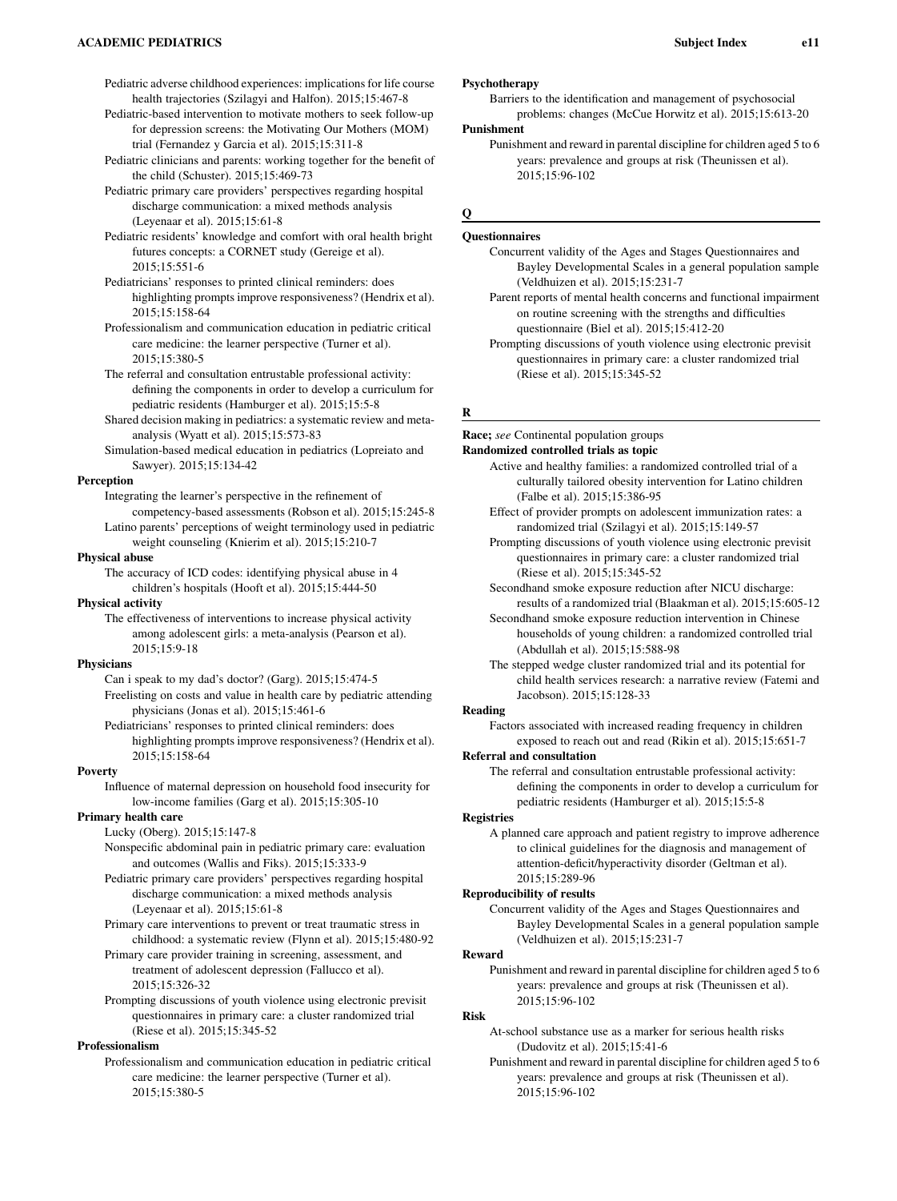Pediatric adverse childhood experiences: implications for life course health trajectories (Szilagyi and Halfon). 2015;15:467-8

- Pediatric-based intervention to motivate mothers to seek follow-up for depression screens: the Motivating Our Mothers (MOM) trial (Fernandez y Garcia et al). 2015;15:311-8
- Pediatric clinicians and parents: working together for the benefit of the child (Schuster). 2015;15:469-73
- Pediatric primary care providers' perspectives regarding hospital discharge communication: a mixed methods analysis (Leyenaar et al). 2015;15:61-8
- Pediatric residents' knowledge and comfort with oral health bright futures concepts: a CORNET study (Gereige et al). 2015;15:551-6
- Pediatricians' responses to printed clinical reminders: does highlighting prompts improve responsiveness? (Hendrix et al). 2015;15:158-64
- Professionalism and communication education in pediatric critical care medicine: the learner perspective (Turner et al). 2015;15:380-5
- The referral and consultation entrustable professional activity: defining the components in order to develop a curriculum for pediatric residents (Hamburger et al). 2015;15:5-8
- Shared decision making in pediatrics: a systematic review and metaanalysis (Wyatt et al). 2015;15:573-83
- Simulation-based medical education in pediatrics (Lopreiato and Sawyer). 2015;15:134-42

## Perception

Integrating the learner's perspective in the refinement of competency-based assessments (Robson et al). 2015;15:245-8 Latino parents' perceptions of weight terminology used in pediatric weight counseling (Knierim et al). 2015;15:210-7

Physical abuse

The accuracy of ICD codes: identifying physical abuse in 4 children's hospitals (Hooft et al). 2015;15:444-50

#### Physical activity

The effectiveness of interventions to increase physical activity among adolescent girls: a meta-analysis (Pearson et al). 2015;15:9-18

#### **Physicians**

- Can i speak to my dad's doctor? (Garg). 2015;15:474-5 Freelisting on costs and value in health care by pediatric attending physicians (Jonas et al). 2015;15:461-6
- Pediatricians' responses to printed clinical reminders: does highlighting prompts improve responsiveness? (Hendrix et al). 2015;15:158-64

#### Poverty

Influence of maternal depression on household food insecurity for low-income families (Garg et al). 2015;15:305-10

## Primary health care

- Lucky (Oberg). 2015;15:147-8
	- Nonspecific abdominal pain in pediatric primary care: evaluation and outcomes (Wallis and Fiks). 2015;15:333-9
	- Pediatric primary care providers' perspectives regarding hospital discharge communication: a mixed methods analysis (Leyenaar et al). 2015;15:61-8
	- Primary care interventions to prevent or treat traumatic stress in childhood: a systematic review (Flynn et al). 2015;15:480-92
	- Primary care provider training in screening, assessment, and treatment of adolescent depression (Fallucco et al). 2015;15:326-32
	- Prompting discussions of youth violence using electronic previsit questionnaires in primary care: a cluster randomized trial (Riese et al). 2015;15:345-52

# Professionalism

Professionalism and communication education in pediatric critical care medicine: the learner perspective (Turner et al). 2015;15:380-5

# Psychotherapy

Barriers to the identification and management of psychosocial problems: changes (McCue Horwitz et al). 2015;15:613-20 Punishment

Punishment and reward in parental discipline for children aged 5 to 6 years: prevalence and groups at risk (Theunissen et al). 2015;15:96-102

# $\Omega$

# Questionnaires

# Concurrent validity of the Ages and Stages Questionnaires and Bayley Developmental Scales in a general population sample (Veldhuizen et al). 2015;15:231-7

- Parent reports of mental health concerns and functional impairment on routine screening with the strengths and difficulties questionnaire (Biel et al). 2015;15:412-20
- Prompting discussions of youth violence using electronic previsit questionnaires in primary care: a cluster randomized trial (Riese et al). 2015;15:345-52

#### R

Race; see Continental population groups Randomized controlled trials as topic

- Active and healthy families: a randomized controlled trial of a culturally tailored obesity intervention for Latino children (Falbe et al). 2015;15:386-95
- Effect of provider prompts on adolescent immunization rates: a randomized trial (Szilagyi et al). 2015;15:149-57
- Prompting discussions of youth violence using electronic previsit questionnaires in primary care: a cluster randomized trial (Riese et al). 2015;15:345-52
- Secondhand smoke exposure reduction after NICU discharge: results of a randomized trial (Blaakman et al). 2015;15:605-12
- Secondhand smoke exposure reduction intervention in Chinese households of young children: a randomized controlled trial (Abdullah et al). 2015;15:588-98
- The stepped wedge cluster randomized trial and its potential for child health services research: a narrative review (Fatemi and Jacobson). 2015;15:128-33

#### Reading

Factors associated with increased reading frequency in children exposed to reach out and read (Rikin et al). 2015;15:651-7

#### Referral and consultation

The referral and consultation entrustable professional activity: defining the components in order to develop a curriculum for pediatric residents (Hamburger et al). 2015;15:5-8

#### **Registries**

A planned care approach and patient registry to improve adherence to clinical guidelines for the diagnosis and management of attention-deficit/hyperactivity disorder (Geltman et al). 2015;15:289-96

#### Reproducibility of results

Concurrent validity of the Ages and Stages Questionnaires and Bayley Developmental Scales in a general population sample (Veldhuizen et al). 2015;15:231-7

#### Reward

Punishment and reward in parental discipline for children aged 5 to 6 years: prevalence and groups at risk (Theunissen et al). 2015;15:96-102

# Risk

At-school substance use as a marker for serious health risks (Dudovitz et al). 2015;15:41-6

Punishment and reward in parental discipline for children aged 5 to 6 years: prevalence and groups at risk (Theunissen et al). 2015;15:96-102